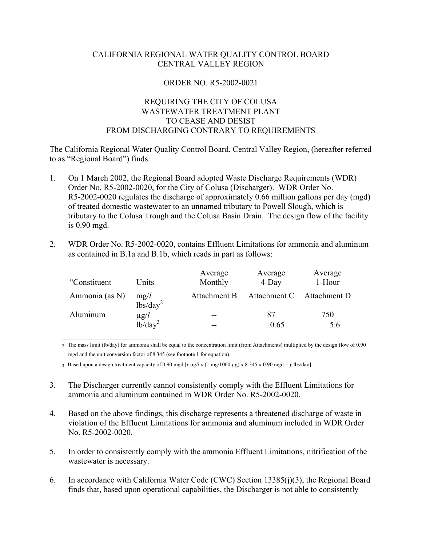## CALIFORNIA REGIONAL WATER QUALITY CONTROL BOARD CENTRAL VALLEY REGION

## ORDER NO. R5-2002-0021

## REQUIRING THE CITY OF COLUSA WASTEWATER TREATMENT PLANT TO CEASE AND DESIST FROM DISCHARGING CONTRARY TO REQUIREMENTS

The California Regional Water Quality Control Board, Central Valley Region, (hereafter referred to as "Regional Board") finds:

- 1. On 1 March 2002, the Regional Board adopted Waste Discharge Requirements (WDR) Order No. R5-2002-0020, for the City of Colusa (Discharger). WDR Order No. R5-2002-0020 regulates the discharge of approximately 0.66 million gallons per day (mgd) of treated domestic wastewater to an unnamed tributary to Powell Slough, which is tributary to the Colusa Trough and the Colusa Basin Drain. The design flow of the facility is 0.90 mgd.
- 2. WDR Order No. R5-2002-0020, contains Effluent Limitations for ammonia and aluminum as contained in B.1a and B.1b, which reads in part as follows:

| "Constituent   | Units                        | Average<br>Monthly | Average<br>$4$ -Day | Average<br>1-Hour |
|----------------|------------------------------|--------------------|---------------------|-------------------|
| Ammonia (as N) | mg/l<br>lbs/day <sup>2</sup> | Attachment B       | Attachment C        | Attachment D      |
| Aluminum       | $\mu$ g/l                    | $- -$              | 87                  | 750               |
|                | $1b/day^3$                   | --                 | 0.65                | 5.6               |

 $\overline{a}$ 2 The mass limit (lb/day) for ammonia shall be equal to the concentration limit (from Attachments) multiplied by the design flow of 0.90 mgd and the unit conversion factor of 8.345 (see footnote 1 for equation).

3 Based upon a design treatment capacity of 0.90 mgd [*x* µg/*l* x (1 mg/1000 µg) x 8.345 x 0.90 mgd = *y* lbs/day]

- 3. The Discharger currently cannot consistently comply with the Effluent Limitations for ammonia and aluminum contained in WDR Order No. R5-2002-0020.
- 4. Based on the above findings, this discharge represents a threatened discharge of waste in violation of the Effluent Limitations for ammonia and aluminum included in WDR Order No. R5-2002-0020.
- 5. In order to consistently comply with the ammonia Effluent Limitations, nitrification of the wastewater is necessary.
- 6. In accordance with California Water Code (CWC) Section 13385(j)(3), the Regional Board finds that, based upon operational capabilities, the Discharger is not able to consistently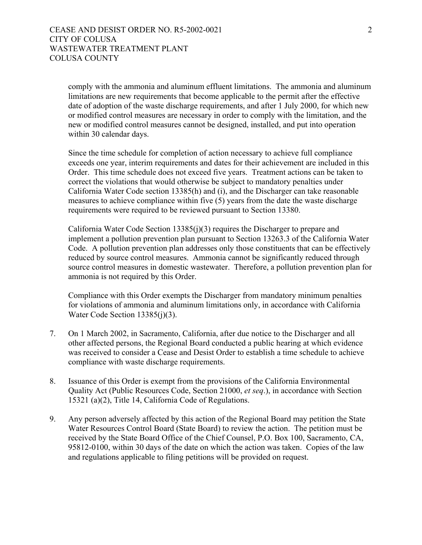comply with the ammonia and aluminum effluent limitations. The ammonia and aluminum limitations are new requirements that become applicable to the permit after the effective date of adoption of the waste discharge requirements, and after 1 July 2000, for which new or modified control measures are necessary in order to comply with the limitation, and the new or modified control measures cannot be designed, installed, and put into operation within 30 calendar days.

Since the time schedule for completion of action necessary to achieve full compliance exceeds one year, interim requirements and dates for their achievement are included in this Order. This time schedule does not exceed five years. Treatment actions can be taken to correct the violations that would otherwise be subject to mandatory penalties under California Water Code section 13385(h) and (i), and the Discharger can take reasonable measures to achieve compliance within five (5) years from the date the waste discharge requirements were required to be reviewed pursuant to Section 13380.

California Water Code Section 13385(j)(3) requires the Discharger to prepare and implement a pollution prevention plan pursuant to Section 13263.3 of the California Water Code. A pollution prevention plan addresses only those constituents that can be effectively reduced by source control measures. Ammonia cannot be significantly reduced through source control measures in domestic wastewater. Therefore, a pollution prevention plan for ammonia is not required by this Order.

Compliance with this Order exempts the Discharger from mandatory minimum penalties for violations of ammonia and aluminum limitations only, in accordance with California Water Code Section 13385(j)(3).

- 7. On 1 March 2002, in Sacramento, California, after due notice to the Discharger and all other affected persons, the Regional Board conducted a public hearing at which evidence was received to consider a Cease and Desist Order to establish a time schedule to achieve compliance with waste discharge requirements.
- 8. Issuance of this Order is exempt from the provisions of the California Environmental Quality Act (Public Resources Code, Section 21000, *et seq*.), in accordance with Section 15321 (a)(2), Title 14, California Code of Regulations.
- 9. Any person adversely affected by this action of the Regional Board may petition the State Water Resources Control Board (State Board) to review the action. The petition must be received by the State Board Office of the Chief Counsel, P.O. Box 100, Sacramento, CA, 95812-0100, within 30 days of the date on which the action was taken. Copies of the law and regulations applicable to filing petitions will be provided on request.